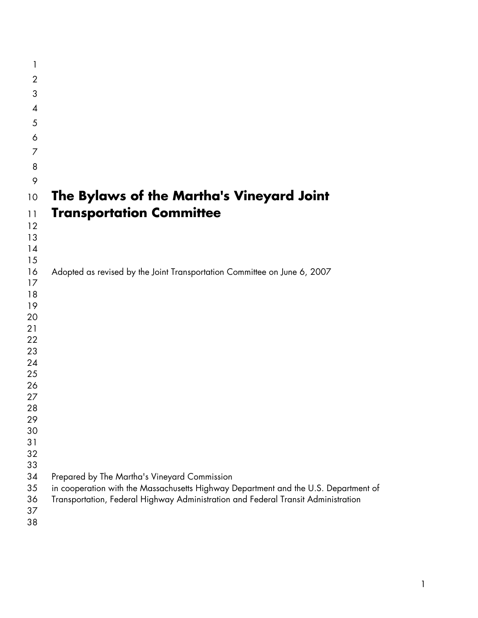| 1              |                                                                                     |
|----------------|-------------------------------------------------------------------------------------|
| $\overline{2}$ |                                                                                     |
| 3              |                                                                                     |
| $\overline{A}$ |                                                                                     |
| 5              |                                                                                     |
| 6              |                                                                                     |
| 7              |                                                                                     |
| 8              |                                                                                     |
|                |                                                                                     |
| 9              |                                                                                     |
| 10             | The Bylaws of the Martha's Vineyard Joint                                           |
| 11             | <b>Transportation Committee</b>                                                     |
| 12             |                                                                                     |
| 13             |                                                                                     |
| 14             |                                                                                     |
| 15<br>16       | Adopted as revised by the Joint Transportation Committee on June 6, 2007            |
| 17             |                                                                                     |
| 18             |                                                                                     |
| 19             |                                                                                     |
| 20             |                                                                                     |
| 21             |                                                                                     |
| 22<br>23       |                                                                                     |
| 24             |                                                                                     |
| 25             |                                                                                     |
| 26             |                                                                                     |
| 27             |                                                                                     |
| 28             |                                                                                     |
| 29<br>30       |                                                                                     |
| 31             |                                                                                     |
| 32             |                                                                                     |
| 33             |                                                                                     |
| 34             | Prepared by The Martha's Vineyard Commission                                        |
| 35             | in cooperation with the Massachusetts Highway Department and the U.S. Department of |
| 36<br>37       | Transportation, Federal Highway Administration and Federal Transit Administration   |
| 38             |                                                                                     |
|                |                                                                                     |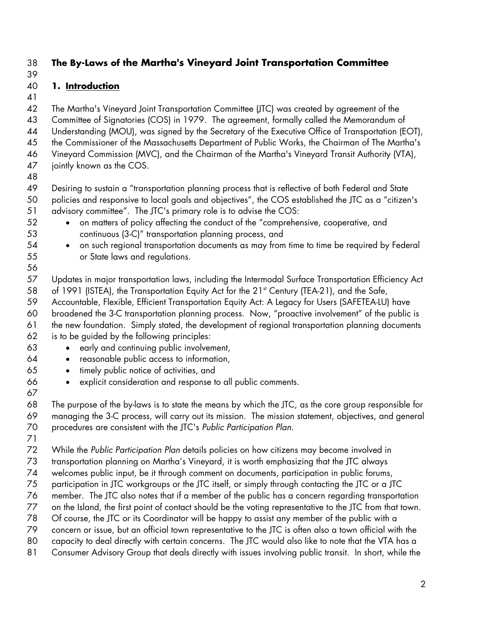### 38 **The By-Laws of the Martha's Vineyard Joint Transportation Committee**  39

## 40 **1. Introduction**

41

42 43 The Martha's Vineyard Joint Transportation Committee (JTC) was created by agreement of the Committee of Signatories (COS) in 1979. The agreement, formally called the Memorandum of

44 Understanding (MOU), was signed by the Secretary of the Executive Office of Transportation (EOT),

45 the Commissioner of the Massachusetts Department of Public Works, the Chairman of The Martha's

46 Vineyard Commission (MVC), and the Chairman of the Martha's Vineyard Transit Authority (VTA),

- 47 jointly known as the COS.
- 48

49 Desiring to sustain a "transportation planning process that is reflective of both Federal and State

- 50 51 policies and responsive to local goals and objectives", the COS established the JTC as a "citizen's advisory committee". The JTC's primary role is to advise the COS:
	- on matters of policy affecting the conduct of the "comprehensive, cooperative, and continuous (3-C)" transportation planning process, and
	- on such regional transportation documents as may from time to time be required by Federal or State laws and regulations.

57 58 Updates in major transportation laws, including the Intermodal Surface Transportation Efficiency Act of 1991 (ISTEA), the Transportation Equity Act for the 21<sup>st</sup> Century (TEA-21), and the Safe,

59 60 Accountable, Flexible, Efficient Transportation Equity Act: A Legacy for Users (SAFETEA-LU) have broadened the 3-C transportation planning process. Now, "proactive involvement" of the public is

- 61 62 the new foundation. Simply stated, the development of regional transportation planning documents is to be guided by the following principles:
	- early and continuing public involvement,
	- reasonable public access to information,
		- timely public notice of activities, and
	- explicit consideration and response to all public comments.
- 66 67

63 64 65

68 69 70 The purpose of the by-laws is to state the means by which the JTC, as the core group responsible for managing the 3-C process, will carry out its mission. The mission statement, objectives, and general procedures are consistent with the JTC's *Public Participation Plan*.

71

72 While the *Public Participation Plan* details policies on how citizens may become involved in

73 transportation planning on Martha's Vineyard, it is worth emphasizing that the JTC always

74 welcomes public input, be it through comment on documents, participation in public forums,

75 participation in JTC workgroups or the JTC itself, or simply through contacting the JTC or a JTC

76 member. The JTC also notes that if a member of the public has a concern regarding transportation

77 on the Island, the first point of contact should be the voting representative to the JTC from that town.

78 Of course, the JTC or its Coordinator will be happy to assist any member of the public with a

79 concern or issue, but an official town representative to the JTC is often also a town official with the

80 capacity to deal directly with certain concerns. The JTC would also like to note that the VTA has a

81 Consumer Advisory Group that deals directly with issues involving public transit. In short, while the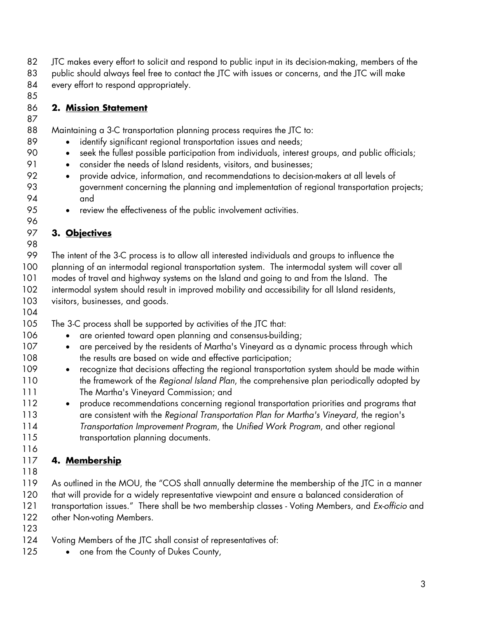- 82 JTC makes every effort to solicit and respond to public input in its decision-making, members of the
- 83 84 public should always feel free to contact the JTC with issues or concerns, and the JTC will make every effort to respond appropriately.
- 85

89 90 91

## 86 **2. Mission Statement**

- 87 88 Maintaining a 3-C transportation planning process requires the JTC to:
	- identify significant regional transportation issues and needs;
	- seek the fullest possible participation from individuals, interest groups, and public officials;
	- consider the needs of Island residents, visitors, and businesses;
- 92 93 94 • provide advice, information, and recommendations to decision-makers at all levels of government concerning the planning and implementation of regional transportation projects; and
	- review the effectiveness of the public involvement activities.
- 95 96

### 97 **3. Objectives** 98

99 100 101 102 103 The intent of the 3-C process is to allow all interested individuals and groups to influence the planning of an intermodal regional transportation system. The intermodal system will cover all modes of travel and highway systems on the Island and going to and from the Island. The intermodal system should result in improved mobility and accessibility for all Island residents, visitors, businesses, and goods.

104

107 108

105 106 The 3-C process shall be supported by activities of the JTC that:

- are oriented toward open planning and consensus-building;
- are perceived by the residents of Martha's Vineyard as a dynamic process through which the results are based on wide and effective participation;
- 109 110 111 • recognize that decisions affecting the regional transportation system should be made within the framework of the *Regional Island Plan*, the comprehensive plan periodically adopted by The Martha's Vineyard Commission; and
- 112 113 114 115 • produce recommendations concerning regional transportation priorities and programs that are consistent with the *Regional Transportation Plan for Martha's Vineyard*, the region's *Transportation Improvement Program*, the *Unified Work Program*, and other regional transportation planning documents.

# 117 **4. Membership**

118

116

119 120 121 122 As outlined in the MOU, the "COS shall annually determine the membership of the JTC in a manner that will provide for a widely representative viewpoint and ensure a balanced consideration of transportation issues." There shall be two membership classes - Voting Members, and *Ex-officio* and other Non-voting Members.

- 123
- 124 Voting Members of the JTC shall consist of representatives of:
- 125 • one from the County of Dukes County,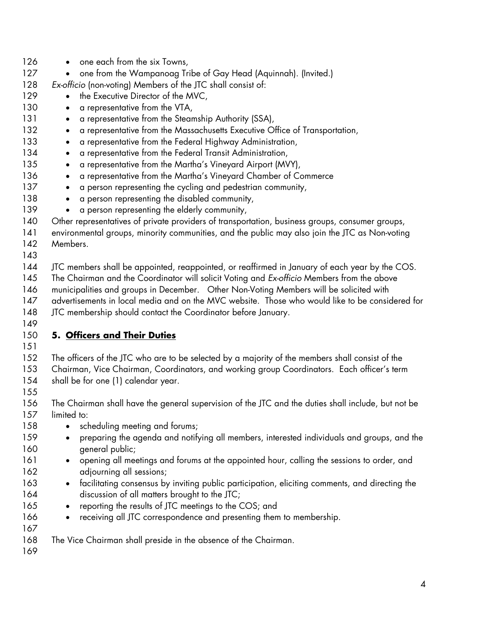126 127 128 129 130 131 132 133 134 135 136 137 138 139 140 141 142 143 144 145 146 147 148 149 • one each from the six Towns, • one from the Wampanoag Tribe of Gay Head (Aquinnah). (Invited.) *Ex-officio* (non-voting) Members of the JTC shall consist of: • the Executive Director of the MVC, • a representative from the VTA, • a representative from the Steamship Authority (SSA), • a representative from the Massachusetts Executive Office of Transportation, • a representative from the Federal Highway Administration, • a representative from the Federal Transit Administration, • a representative from the Martha's Vineyard Airport (MVY), • a representative from the Martha's Vineyard Chamber of Commerce • a person representing the cycling and pedestrian community, • a person representing the disabled community, • a person representing the elderly community, Other representatives of private providers of transportation, business groups, consumer groups, environmental groups, minority communities, and the public may also join the JTC as Non-voting **Members** JTC members shall be appointed, reappointed, or reaffirmed in January of each year by the COS. The Chairman and the Coordinator will solicit Voting and *Ex-officio* Members from the above municipalities and groups in December. Other Non-Voting Members will be solicited with advertisements in local media and on the MVC website. Those who would like to be considered for JTC membership should contact the Coordinator before January. 150 **5. Officers and Their Duties** 151 152 153 154 155 156 157 158 159 160 161 162 163 164 165 166 167 168 169 The officers of the JTC who are to be selected by a majority of the members shall consist of the Chairman, Vice Chairman, Coordinators, and working group Coordinators. Each officer's term shall be for one (1) calendar year. The Chairman shall have the general supervision of the JTC and the duties shall include, but not be limited to: • scheduling meeting and forums; • preparing the agenda and notifying all members, interested individuals and groups, and the general public; • opening all meetings and forums at the appointed hour, calling the sessions to order, and adjourning all sessions; • facilitating consensus by inviting public participation, eliciting comments, and directing the discussion of all matters brought to the JTC; • reporting the results of JTC meetings to the COS; and • receiving all JTC correspondence and presenting them to membership. The Vice Chairman shall preside in the absence of the Chairman.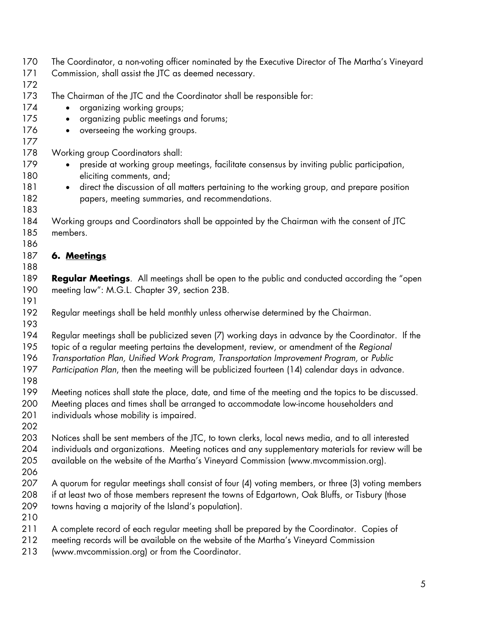170 171 172 173 174 175 176 177 178 179 180 181 182 183 184 185 186 The Coordinator, a non-voting officer nominated by the Executive Director of The Martha's Vineyard Commission, shall assist the JTC as deemed necessary. The Chairman of the JTC and the Coordinator shall be responsible for: • organizing working groups; • organizing public meetings and forums; • overseeing the working groups. Working group Coordinators shall: • preside at working group meetings, facilitate consensus by inviting public participation, eliciting comments, and; • direct the discussion of all matters pertaining to the working group, and prepare position papers, meeting summaries, and recommendations. Working groups and Coordinators shall be appointed by the Chairman with the consent of JTC members. 187 **6. Meetings** 188 189 190 191 192 193 194 195 196 197 198 199 200 201 202 203 204 205 206 207 208 209 210 211 212 213 **Regular Meetings**. All meetings shall be open to the public and conducted according the "open meeting law": M.G.L. Chapter 39, section 23B. Regular meetings shall be held monthly unless otherwise determined by the Chairman. Regular meetings shall be publicized seven (7) working days in advance by the Coordinator. If the topic of a regular meeting pertains the development, review, or amendment of the *Regional Transportation Plan, Unified Work Program, Transportation Improvement Program,* or *Public Participation Plan*, then the meeting will be publicized fourteen (14) calendar days in advance. Meeting notices shall state the place, date, and time of the meeting and the topics to be discussed. Meeting places and times shall be arranged to accommodate low-income householders and individuals whose mobility is impaired. Notices shall be sent members of the JTC, to town clerks, local news media, and to all interested individuals and organizations. Meeting notices and any supplementary materials for review will be available on the website of the Martha's Vineyard Commission (www.mvcommission.org). A quorum for regular meetings shall consist of four (4) voting members, or three (3) voting members if at least two of those members represent the towns of Edgartown, Oak Bluffs, or Tisbury (those towns having a majority of the Island's population). A complete record of each regular meeting shall be prepared by the Coordinator. Copies of meeting records will be available on the website of the Martha's Vineyard Commission (www.mvcommission.org) or from the Coordinator.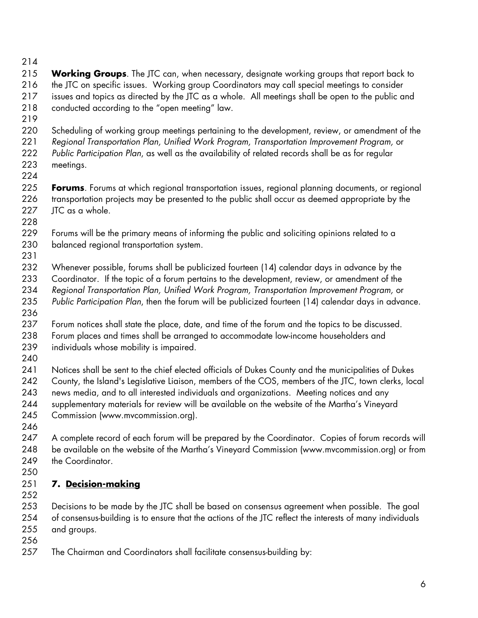- 214
- 215 216 217 218 **Working Groups**. The JTC can, when necessary, designate working groups that report back to the JTC on specific issues. Working group Coordinators may call special meetings to consider issues and topics as directed by the JTC as a whole. All meetings shall be open to the public and conducted according to the "open meeting" law.
- 219
- 220 Scheduling of working group meetings pertaining to the development, review, or amendment of the
- 221 222 223 *Regional Transportation Plan, Unified Work Program, Transportation Improvement Program,* or *Public Participation Plan*, as well as the availability of related records shall be as for regular meetings.
- 224

225 226 227 **Forums**. Forums at which regional transportation issues, regional planning documents, or regional transportation projects may be presented to the public shall occur as deemed appropriate by the JTC as a whole.

- 228 229 Forums will be the primary means of informing the public and soliciting opinions related to a
	- 230 balanced regional transportation system.
	- 231

232 233 234 Whenever possible, forums shall be publicized fourteen (14) calendar days in advance by the Coordinator. If the topic of a forum pertains to the development, review, or amendment of the *Regional Transportation Plan, Unified Work Program, Transportation Improvement Program,* or

- 235 *Public Participation Plan*, then the forum will be publicized fourteen (14) calendar days in advance.
- 236 237 238 239 Forum notices shall state the place, date, and time of the forum and the topics to be discussed. Forum places and times shall be arranged to accommodate low-income householders and individuals whose mobility is impaired.
- 240

241 242 243 244 245 Notices shall be sent to the chief elected officials of Dukes County and the municipalities of Dukes County, the Island's Legislative Liaison, members of the COS, members of the JTC, town clerks, local news media, and to all interested individuals and organizations. Meeting notices and any supplementary materials for review will be available on the website of the Martha's Vineyard Commission (www.mvcommission.org).

246

247 248 249 A complete record of each forum will be prepared by the Coordinator. Copies of forum records will be available on the website of the Martha's Vineyard Commission (www.mvcommission.org) or from the Coordinator.

250

## 251 **7. Decision-making**

252

253 254 255 Decisions to be made by the JTC shall be based on consensus agreement when possible. The goal of consensus-building is to ensure that the actions of the JTC reflect the interests of many individuals and groups.

- 256
- 257 The Chairman and Coordinators shall facilitate consensus-building by: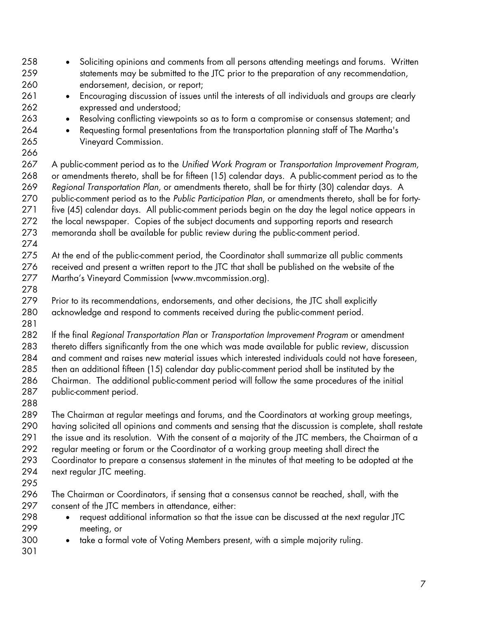258 259 260 261 262 263 264 265 266 267 268 269 270 271 272 273 274 275 276 277 278 279 280 281 282 283 284 285 286 287 288 289 290 291 292 293 294 295 296 297 298 299 300 301 • Soliciting opinions and comments from all persons attending meetings and forums. Written statements may be submitted to the JTC prior to the preparation of any recommendation, endorsement, decision, or report; • Encouraging discussion of issues until the interests of all individuals and groups are clearly expressed and understood; • Resolving conflicting viewpoints so as to form a compromise or consensus statement; and • Requesting formal presentations from the transportation planning staff of The Martha's Vineyard Commission. A public-comment period as to the *Unified Work Program* or *Transportation Improvement Program,* or amendments thereto, shall be for fifteen (15) calendar days. A public-comment period as to the *Regional Transportation Plan,* or amendments thereto, shall be for thirty (30) calendar days. A public-comment period as to the *Public Participation Plan*, or amendments thereto, shall be for fortyfive (45) calendar days. All public-comment periods begin on the day the legal notice appears in the local newspaper. Copies of the subject documents and supporting reports and research memoranda shall be available for public review during the public-comment period. At the end of the public-comment period, the Coordinator shall summarize all public comments received and present a written report to the JTC that shall be published on the website of the Martha's Vineyard Commission (www.mvcommission.org). Prior to its recommendations, endorsements, and other decisions, the JTC shall explicitly acknowledge and respond to comments received during the public-comment period. If the final *Regional Transportation Plan* or *Transportation Improvement Program* or amendment thereto differs significantly from the one which was made available for public review, discussion and comment and raises new material issues which interested individuals could not have foreseen, then an additional fifteen (15) calendar day public-comment period shall be instituted by the Chairman. The additional public-comment period will follow the same procedures of the initial public-comment period. The Chairman at regular meetings and forums, and the Coordinators at working group meetings, having solicited all opinions and comments and sensing that the discussion is complete, shall restate the issue and its resolution. With the consent of a majority of the JTC members, the Chairman of a regular meeting or forum or the Coordinator of a working group meeting shall direct the Coordinator to prepare a consensus statement in the minutes of that meeting to be adopted at the next regular JTC meeting. The Chairman or Coordinators, if sensing that a consensus cannot be reached, shall, with the consent of the JTC members in attendance, either: • request additional information so that the issue can be discussed at the next regular JTC meeting, or • take a formal vote of Voting Members present, with a simple majority ruling.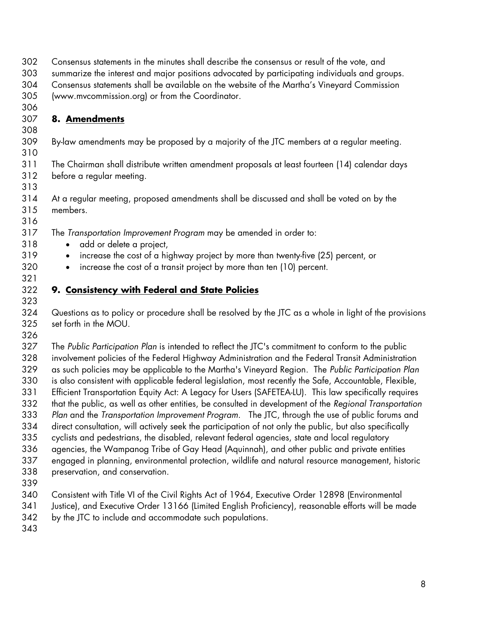- 302
	- Consensus statements in the minutes shall describe the consensus or result of the vote, and
- 303 summarize the interest and major positions advocated by participating individuals and groups.
- 304 Consensus statements shall be available on the website of the Martha's Vineyard Commission
- 305 306 (www.mvcommission.org) or from the Coordinator.

## 307 **8. Amendments**

308

310

313

309 By-law amendments may be proposed by a majority of the JTC members at a regular meeting.

311 312 The Chairman shall distribute written amendment proposals at least fourteen (14) calendar days before a regular meeting.

314 315 At a regular meeting, proposed amendments shall be discussed and shall be voted on by the members.

316 317

- The *Transportation Improvement Program* may be amended in order to:
	- add or delete a project,
	- increase the cost of a highway project by more than twenty-five (25) percent, or
	- increase the cost of a transit project by more than ten (10) percent.

### 322 **9. Consistency with Federal and State Policies**  323

324 325 Questions as to policy or procedure shall be resolved by the JTC as a whole in light of the provisions set forth in the MOU.

326

327 328 329 330 331 332 333 334 335 336 337 338 339 The *Public Participation Plan* is intended to reflect the JTC's commitment to conform to the public involvement policies of the Federal Highway Administration and the Federal Transit Administration as such policies may be applicable to the Martha's Vineyard Region. The *Public Participation Plan* is also consistent with applicable federal legislation, most recently the Safe, Accountable, Flexible, Efficient Transportation Equity Act: A Legacy for Users (SAFETEA-LU). This law specifically requires that the public, as well as other entities, be consulted in development of the *Regional Transportation Plan* and the *Transportation Improvement Program*. The JTC, through the use of public forums and direct consultation, will actively seek the participation of not only the public, but also specifically cyclists and pedestrians, the disabled, relevant federal agencies, state and local regulatory agencies, the Wampanog Tribe of Gay Head (Aquinnah), and other public and private entities engaged in planning, environmental protection, wildlife and natural resource management, historic preservation, and conservation.

- 
- 340 Consistent with Title VI of the Civil Rights Act of 1964, Executive Order 12898 (Environmental
- 341 Justice), and Executive Order 13166 (Limited English Proficiency), reasonable efforts will be made
- 342 by the JTC to include and accommodate such populations.
- 343